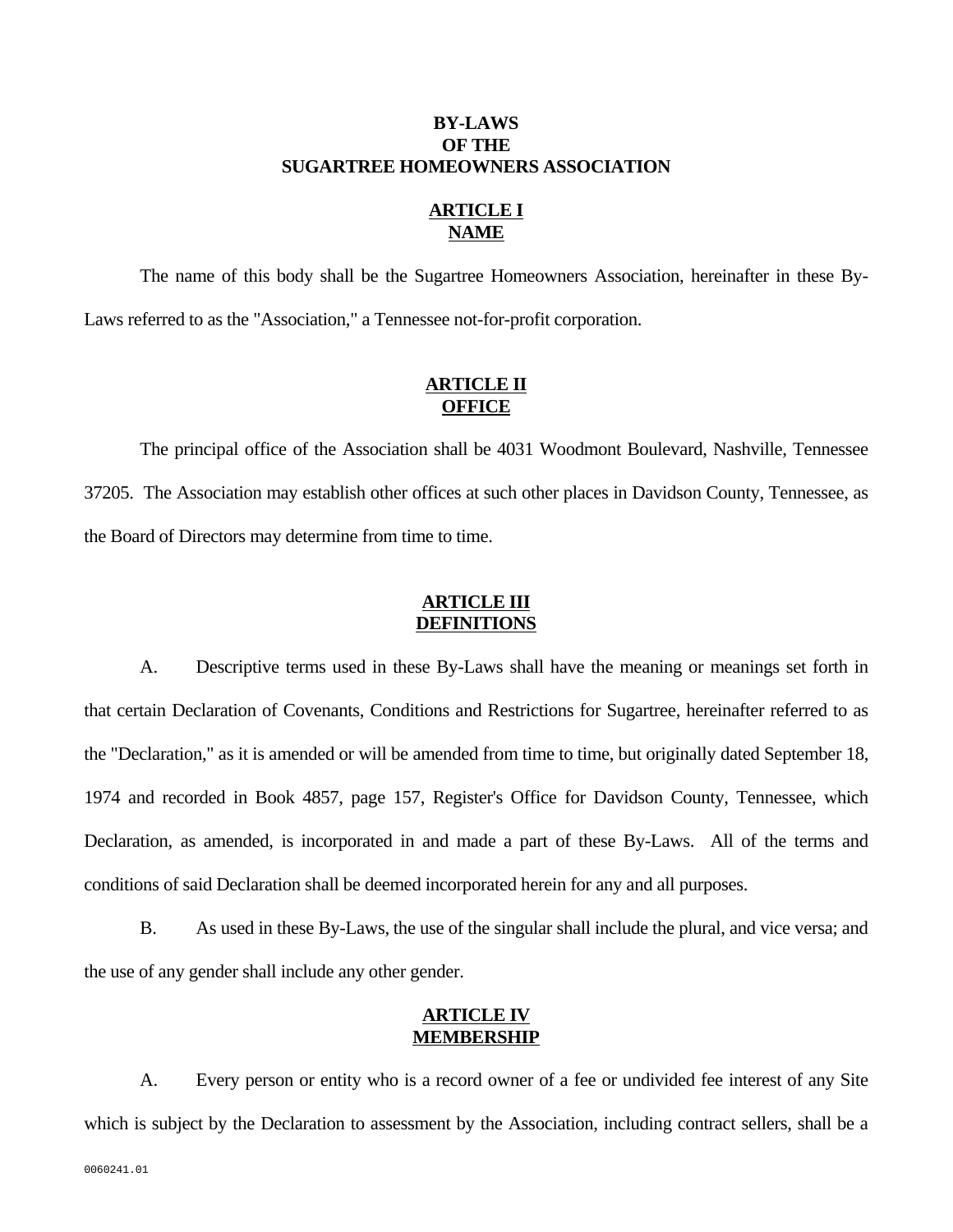## **BY-LAWS OF THE SUGARTREE HOMEOWNERS ASSOCIATION**

# **ARTICLE I NAME**

 The name of this body shall be the Sugartree Homeowners Association, hereinafter in these By-Laws referred to as the "Association," a Tennessee not-for-profit corporation.

# **ARTICLE II** *<u>OFFICE</u>*

 The principal office of the Association shall be 4031 Woodmont Boulevard, Nashville, Tennessee 37205. The Association may establish other offices at such other places in Davidson County, Tennessee, as the Board of Directors may determine from time to time.

# **ARTICLE III DEFINITIONS**

 A. Descriptive terms used in these By-Laws shall have the meaning or meanings set forth in that certain Declaration of Covenants, Conditions and Restrictions for Sugartree, hereinafter referred to as the "Declaration," as it is amended or will be amended from time to time, but originally dated September 18, 1974 and recorded in Book 4857, page 157, Register's Office for Davidson County, Tennessee, which Declaration, as amended, is incorporated in and made a part of these By-Laws. All of the terms and conditions of said Declaration shall be deemed incorporated herein for any and all purposes.

 B. As used in these By-Laws, the use of the singular shall include the plural, and vice versa; and the use of any gender shall include any other gender.

## **ARTICLE IV MEMBERSHIP**

 A. Every person or entity who is a record owner of a fee or undivided fee interest of any Site which is subject by the Declaration to assessment by the Association, including contract sellers, shall be a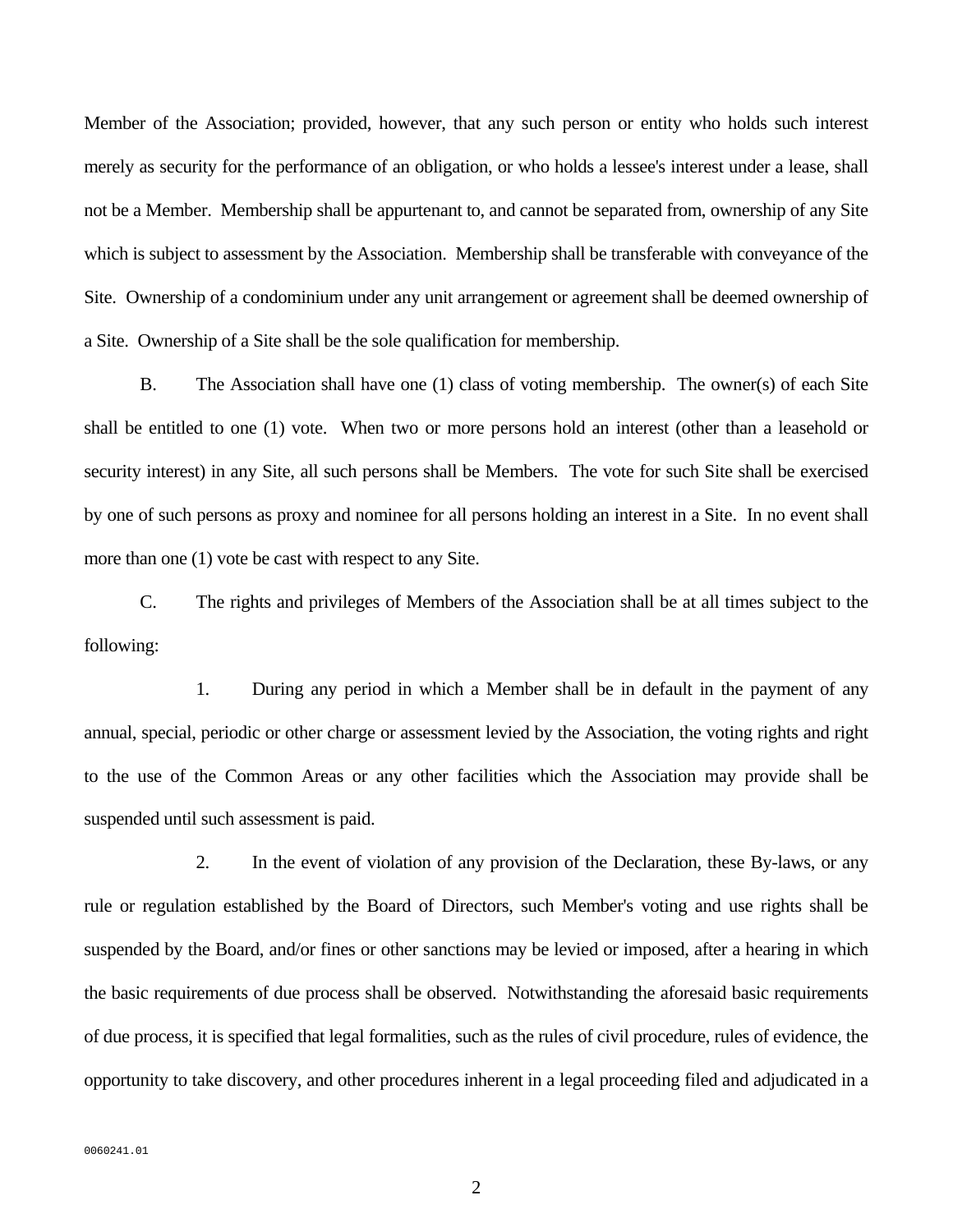Member of the Association; provided, however, that any such person or entity who holds such interest merely as security for the performance of an obligation, or who holds a lessee's interest under a lease, shall not be a Member. Membership shall be appurtenant to, and cannot be separated from, ownership of any Site which is subject to assessment by the Association. Membership shall be transferable with conveyance of the Site. Ownership of a condominium under any unit arrangement or agreement shall be deemed ownership of a Site. Ownership of a Site shall be the sole qualification for membership.

 B. The Association shall have one (1) class of voting membership. The owner(s) of each Site shall be entitled to one (1) vote. When two or more persons hold an interest (other than a leasehold or security interest) in any Site, all such persons shall be Members. The vote for such Site shall be exercised by one of such persons as proxy and nominee for all persons holding an interest in a Site. In no event shall more than one (1) vote be cast with respect to any Site.

 C. The rights and privileges of Members of the Association shall be at all times subject to the following:

 1. During any period in which a Member shall be in default in the payment of any annual, special, periodic or other charge or assessment levied by the Association, the voting rights and right to the use of the Common Areas or any other facilities which the Association may provide shall be suspended until such assessment is paid.

 2. In the event of violation of any provision of the Declaration, these By-laws, or any rule or regulation established by the Board of Directors, such Member's voting and use rights shall be suspended by the Board, and/or fines or other sanctions may be levied or imposed, after a hearing in which the basic requirements of due process shall be observed. Notwithstanding the aforesaid basic requirements of due process, it is specified that legal formalities, such as the rules of civil procedure, rules of evidence, the opportunity to take discovery, and other procedures inherent in a legal proceeding filed and adjudicated in a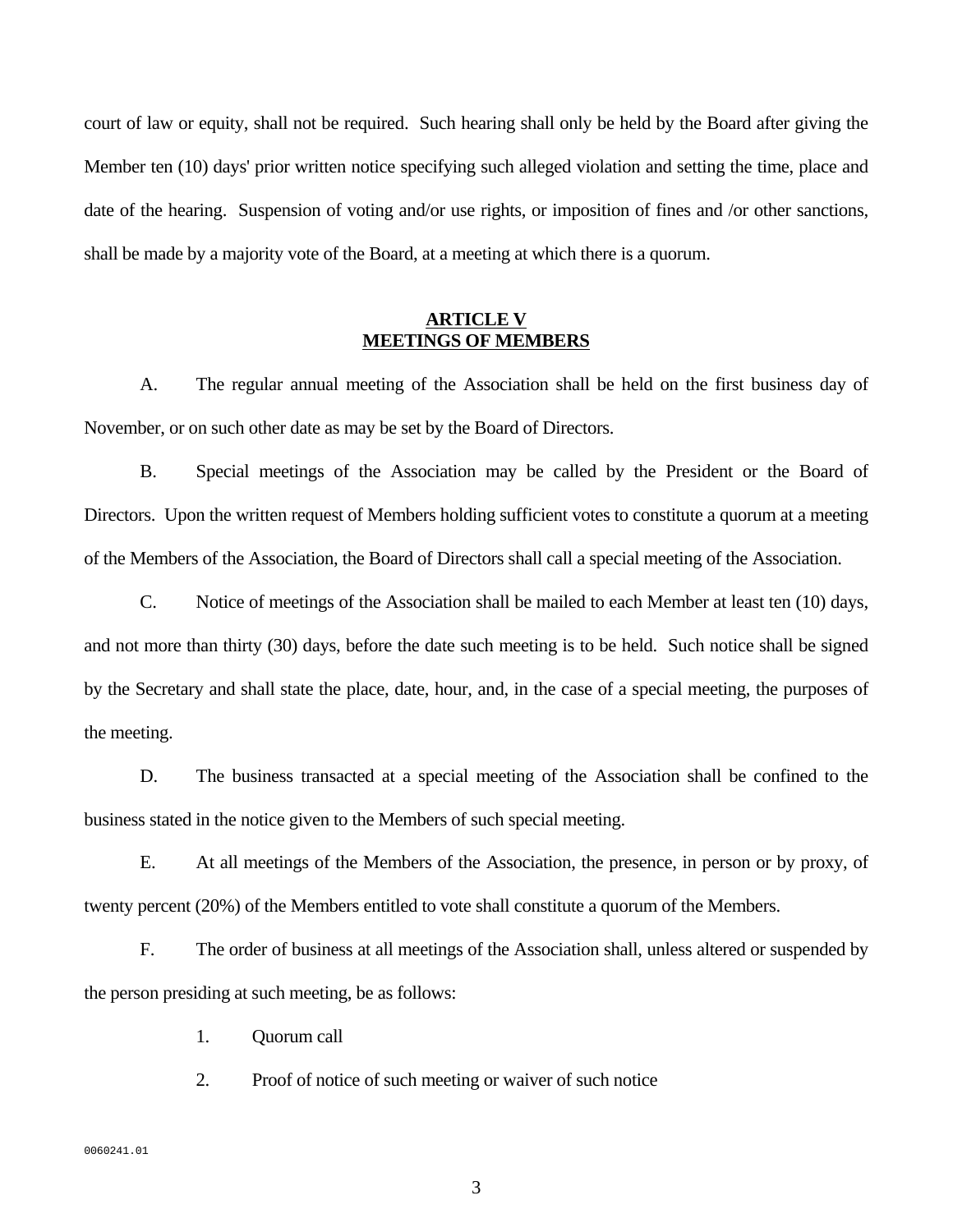court of law or equity, shall not be required. Such hearing shall only be held by the Board after giving the Member ten (10) days' prior written notice specifying such alleged violation and setting the time, place and date of the hearing. Suspension of voting and/or use rights, or imposition of fines and /or other sanctions, shall be made by a majority vote of the Board, at a meeting at which there is a quorum.

#### **ARTICLE V MEETINGS OF MEMBERS**

 A. The regular annual meeting of the Association shall be held on the first business day of November, or on such other date as may be set by the Board of Directors.

 B. Special meetings of the Association may be called by the President or the Board of Directors. Upon the written request of Members holding sufficient votes to constitute a quorum at a meeting of the Members of the Association, the Board of Directors shall call a special meeting of the Association.

 C. Notice of meetings of the Association shall be mailed to each Member at least ten (10) days, and not more than thirty (30) days, before the date such meeting is to be held. Such notice shall be signed by the Secretary and shall state the place, date, hour, and, in the case of a special meeting, the purposes of the meeting.

 D. The business transacted at a special meeting of the Association shall be confined to the business stated in the notice given to the Members of such special meeting.

 E. At all meetings of the Members of the Association, the presence, in person or by proxy, of twenty percent (20%) of the Members entitled to vote shall constitute a quorum of the Members.

 F. The order of business at all meetings of the Association shall, unless altered or suspended by the person presiding at such meeting, be as follows:

1. Quorum call

2. Proof of notice of such meeting or waiver of such notice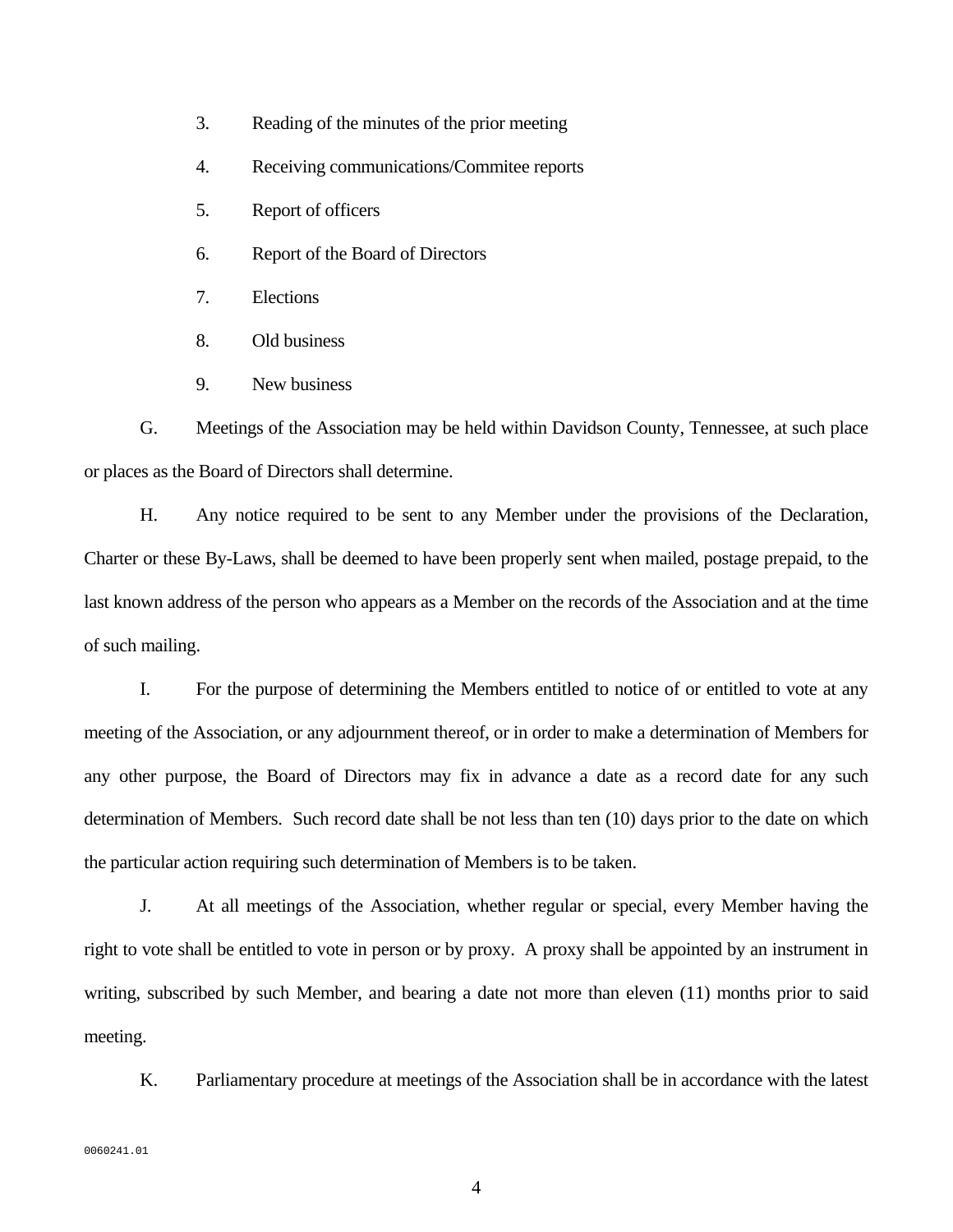- 3. Reading of the minutes of the prior meeting
- 4. Receiving communications/Commitee reports
- 5. Report of officers
- 6. Report of the Board of Directors
- 7. Elections
- 8. Old business
- 9. New business

 G. Meetings of the Association may be held within Davidson County, Tennessee, at such place or places as the Board of Directors shall determine.

 H. Any notice required to be sent to any Member under the provisions of the Declaration, Charter or these By-Laws, shall be deemed to have been properly sent when mailed, postage prepaid, to the last known address of the person who appears as a Member on the records of the Association and at the time of such mailing.

 I. For the purpose of determining the Members entitled to notice of or entitled to vote at any meeting of the Association, or any adjournment thereof, or in order to make a determination of Members for any other purpose, the Board of Directors may fix in advance a date as a record date for any such determination of Members. Such record date shall be not less than ten (10) days prior to the date on which the particular action requiring such determination of Members is to be taken.

 J. At all meetings of the Association, whether regular or special, every Member having the right to vote shall be entitled to vote in person or by proxy. A proxy shall be appointed by an instrument in writing, subscribed by such Member, and bearing a date not more than eleven (11) months prior to said meeting.

K. Parliamentary procedure at meetings of the Association shall be in accordance with the latest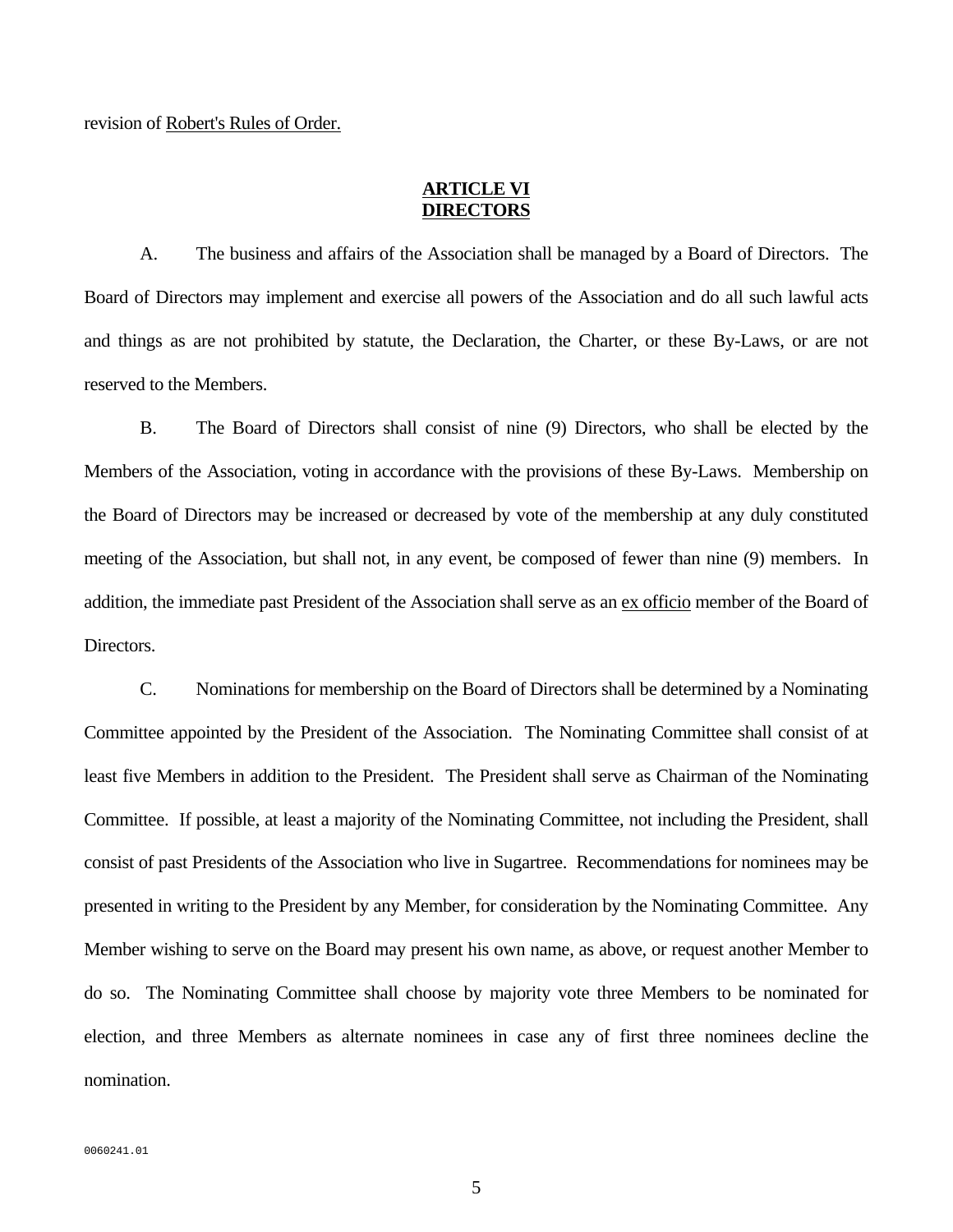# **ARTICLE VI DIRECTORS**

 A. The business and affairs of the Association shall be managed by a Board of Directors. The Board of Directors may implement and exercise all powers of the Association and do all such lawful acts and things as are not prohibited by statute, the Declaration, the Charter, or these By-Laws, or are not reserved to the Members.

 B. The Board of Directors shall consist of nine (9) Directors, who shall be elected by the Members of the Association, voting in accordance with the provisions of these By-Laws. Membership on the Board of Directors may be increased or decreased by vote of the membership at any duly constituted meeting of the Association, but shall not, in any event, be composed of fewer than nine (9) members. In addition, the immediate past President of the Association shall serve as an ex officio member of the Board of Directors.

 C. Nominations for membership on the Board of Directors shall be determined by a Nominating Committee appointed by the President of the Association. The Nominating Committee shall consist of at least five Members in addition to the President. The President shall serve as Chairman of the Nominating Committee. If possible, at least a majority of the Nominating Committee, not including the President, shall consist of past Presidents of the Association who live in Sugartree. Recommendations for nominees may be presented in writing to the President by any Member, for consideration by the Nominating Committee. Any Member wishing to serve on the Board may present his own name, as above, or request another Member to do so. The Nominating Committee shall choose by majority vote three Members to be nominated for election, and three Members as alternate nominees in case any of first three nominees decline the nomination.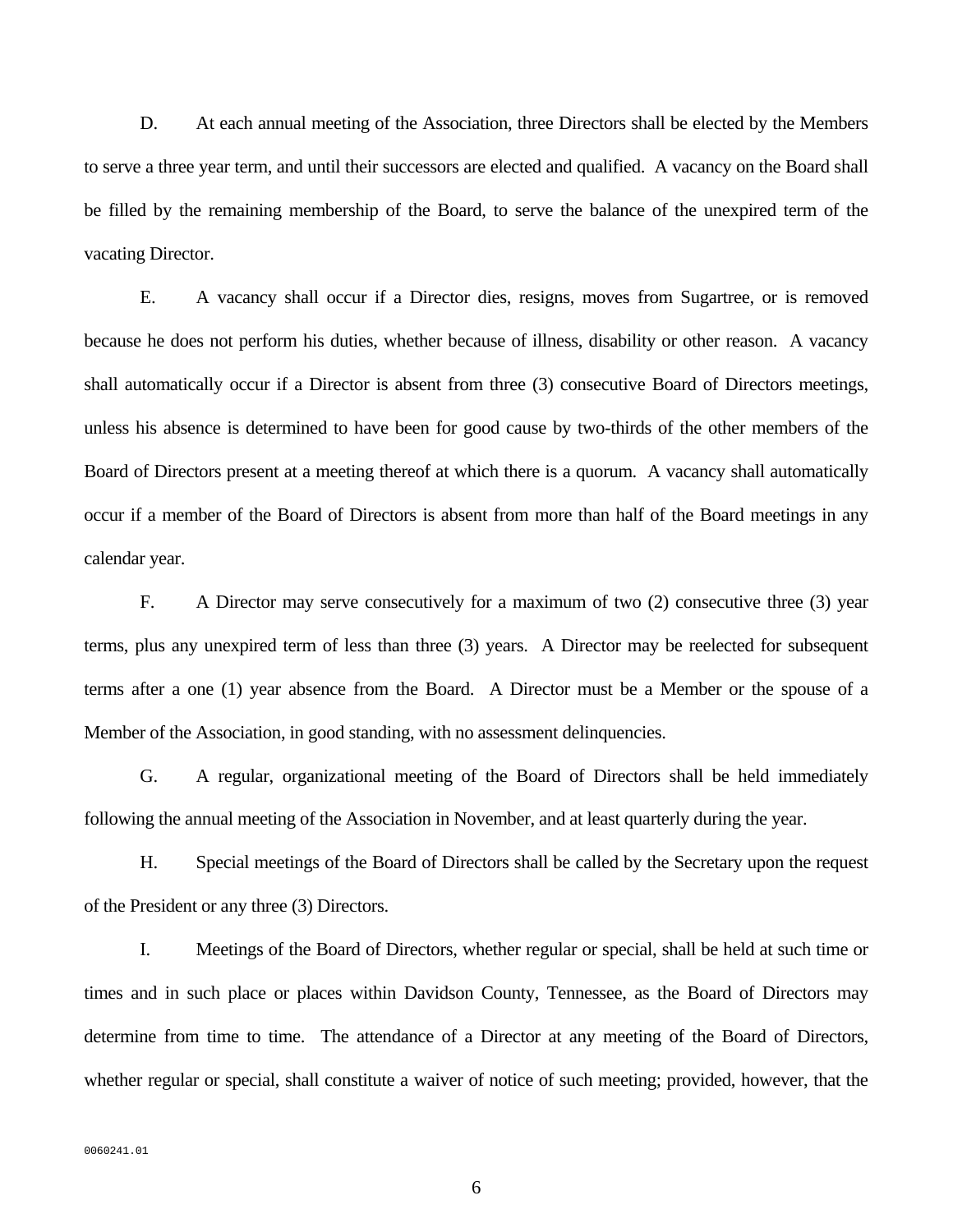D. At each annual meeting of the Association, three Directors shall be elected by the Members to serve a three year term, and until their successors are elected and qualified. A vacancy on the Board shall be filled by the remaining membership of the Board, to serve the balance of the unexpired term of the vacating Director.

 E. A vacancy shall occur if a Director dies, resigns, moves from Sugartree, or is removed because he does not perform his duties, whether because of illness, disability or other reason. A vacancy shall automatically occur if a Director is absent from three (3) consecutive Board of Directors meetings, unless his absence is determined to have been for good cause by two-thirds of the other members of the Board of Directors present at a meeting thereof at which there is a quorum. A vacancy shall automatically occur if a member of the Board of Directors is absent from more than half of the Board meetings in any calendar year.

 F. A Director may serve consecutively for a maximum of two (2) consecutive three (3) year terms, plus any unexpired term of less than three (3) years. A Director may be reelected for subsequent terms after a one (1) year absence from the Board. A Director must be a Member or the spouse of a Member of the Association, in good standing, with no assessment delinquencies.

 G. A regular, organizational meeting of the Board of Directors shall be held immediately following the annual meeting of the Association in November, and at least quarterly during the year.

 H. Special meetings of the Board of Directors shall be called by the Secretary upon the request of the President or any three (3) Directors.

 I. Meetings of the Board of Directors, whether regular or special, shall be held at such time or times and in such place or places within Davidson County, Tennessee, as the Board of Directors may determine from time to time. The attendance of a Director at any meeting of the Board of Directors, whether regular or special, shall constitute a waiver of notice of such meeting; provided, however, that the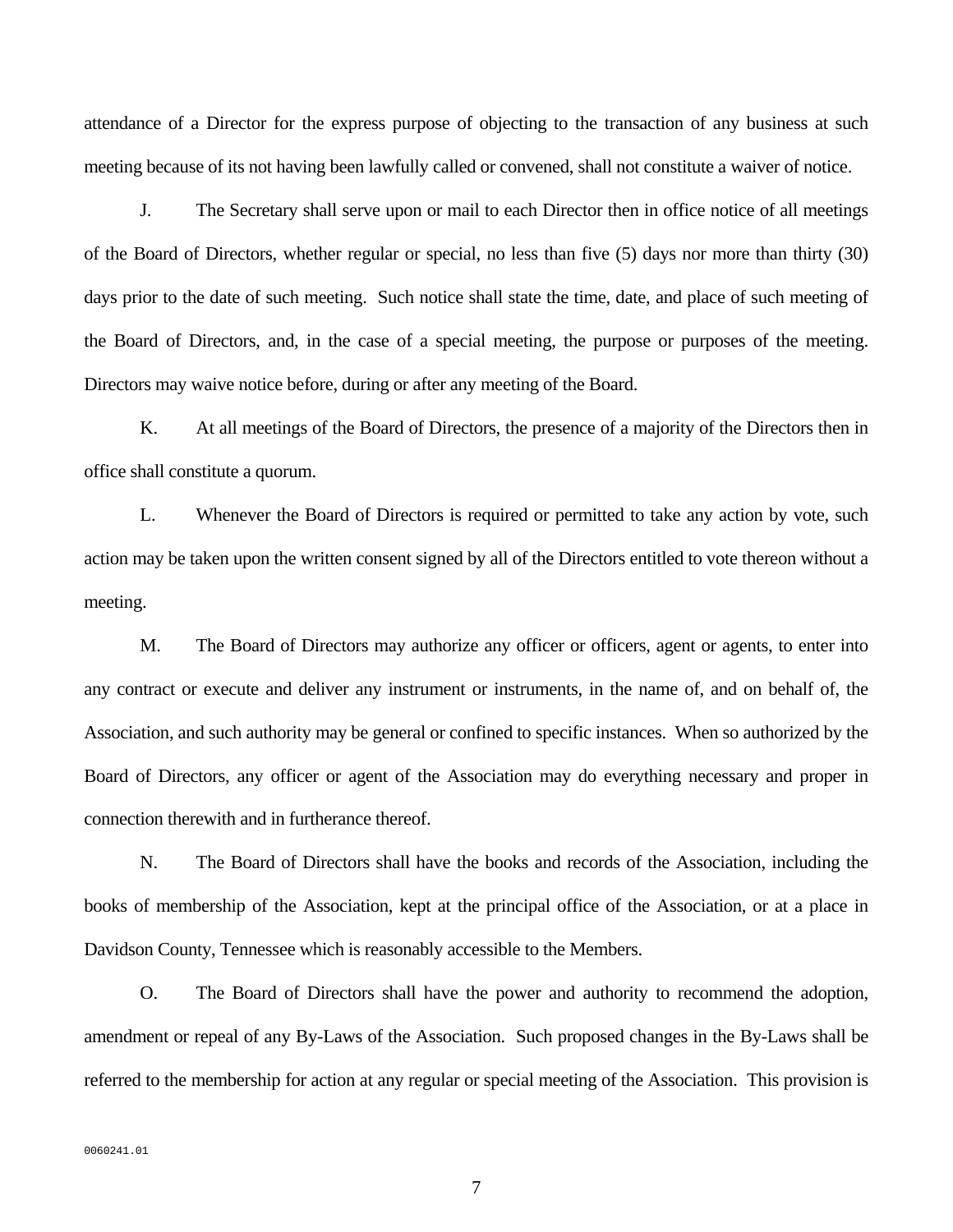attendance of a Director for the express purpose of objecting to the transaction of any business at such meeting because of its not having been lawfully called or convened, shall not constitute a waiver of notice.

 J. The Secretary shall serve upon or mail to each Director then in office notice of all meetings of the Board of Directors, whether regular or special, no less than five (5) days nor more than thirty (30) days prior to the date of such meeting. Such notice shall state the time, date, and place of such meeting of the Board of Directors, and, in the case of a special meeting, the purpose or purposes of the meeting. Directors may waive notice before, during or after any meeting of the Board.

 K. At all meetings of the Board of Directors, the presence of a majority of the Directors then in office shall constitute a quorum.

 L. Whenever the Board of Directors is required or permitted to take any action by vote, such action may be taken upon the written consent signed by all of the Directors entitled to vote thereon without a meeting.

 M. The Board of Directors may authorize any officer or officers, agent or agents, to enter into any contract or execute and deliver any instrument or instruments, in the name of, and on behalf of, the Association, and such authority may be general or confined to specific instances. When so authorized by the Board of Directors, any officer or agent of the Association may do everything necessary and proper in connection therewith and in furtherance thereof.

 N. The Board of Directors shall have the books and records of the Association, including the books of membership of the Association, kept at the principal office of the Association, or at a place in Davidson County, Tennessee which is reasonably accessible to the Members.

 O. The Board of Directors shall have the power and authority to recommend the adoption, amendment or repeal of any By-Laws of the Association. Such proposed changes in the By-Laws shall be referred to the membership for action at any regular or special meeting of the Association. This provision is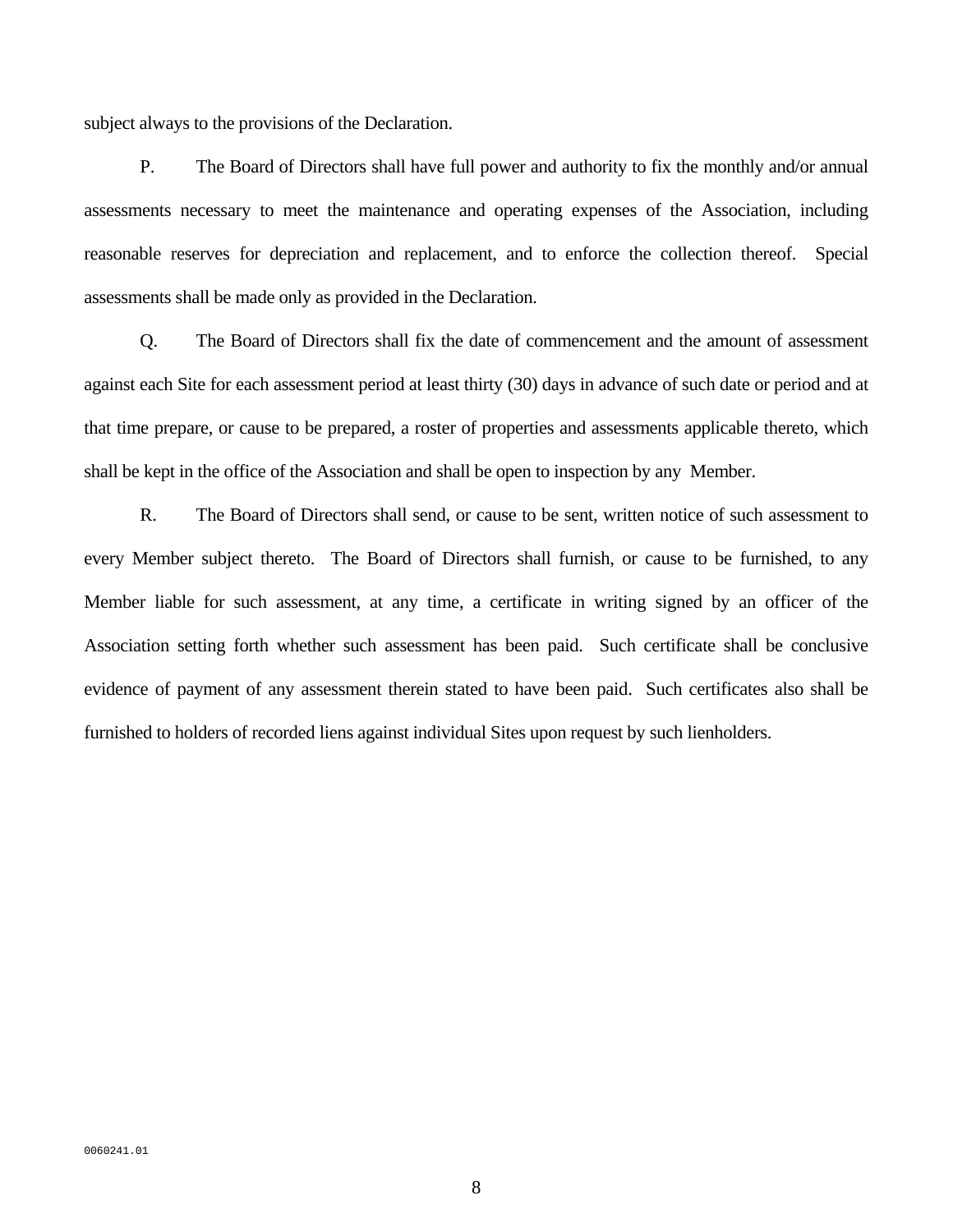subject always to the provisions of the Declaration.

 P. The Board of Directors shall have full power and authority to fix the monthly and/or annual assessments necessary to meet the maintenance and operating expenses of the Association, including reasonable reserves for depreciation and replacement, and to enforce the collection thereof. Special assessments shall be made only as provided in the Declaration.

 Q. The Board of Directors shall fix the date of commencement and the amount of assessment against each Site for each assessment period at least thirty (30) days in advance of such date or period and at that time prepare, or cause to be prepared, a roster of properties and assessments applicable thereto, which shall be kept in the office of the Association and shall be open to inspection by any Member.

 R. The Board of Directors shall send, or cause to be sent, written notice of such assessment to every Member subject thereto. The Board of Directors shall furnish, or cause to be furnished, to any Member liable for such assessment, at any time, a certificate in writing signed by an officer of the Association setting forth whether such assessment has been paid. Such certificate shall be conclusive evidence of payment of any assessment therein stated to have been paid. Such certificates also shall be furnished to holders of recorded liens against individual Sites upon request by such lienholders.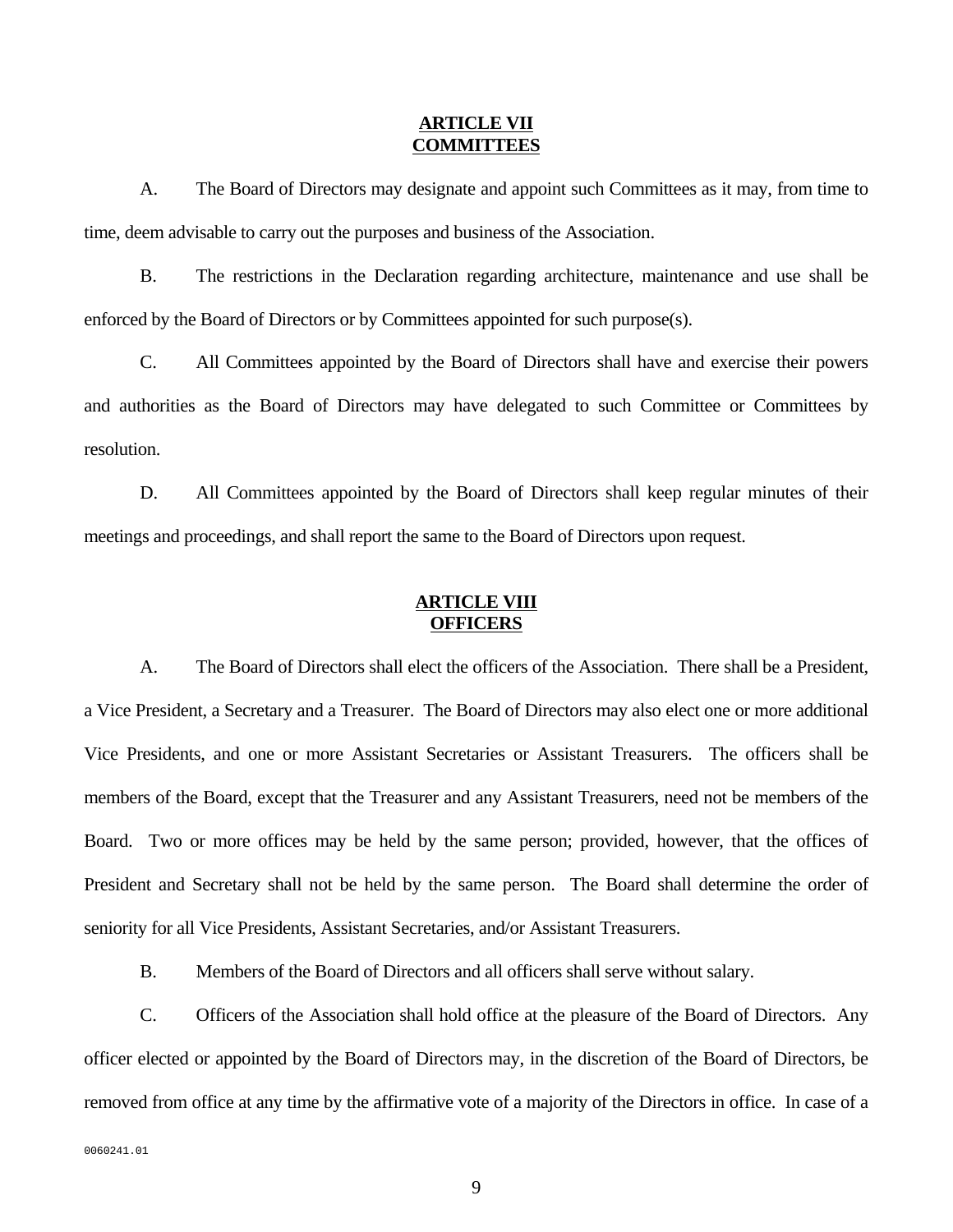#### **ARTICLE VII COMMITTEES**

 A. The Board of Directors may designate and appoint such Committees as it may, from time to time, deem advisable to carry out the purposes and business of the Association.

 B. The restrictions in the Declaration regarding architecture, maintenance and use shall be enforced by the Board of Directors or by Committees appointed for such purpose(s).

 C. All Committees appointed by the Board of Directors shall have and exercise their powers and authorities as the Board of Directors may have delegated to such Committee or Committees by resolution.

 D. All Committees appointed by the Board of Directors shall keep regular minutes of their meetings and proceedings, and shall report the same to the Board of Directors upon request.

# **ARTICLE VIII OFFICERS**

 A. The Board of Directors shall elect the officers of the Association. There shall be a President, a Vice President, a Secretary and a Treasurer. The Board of Directors may also elect one or more additional Vice Presidents, and one or more Assistant Secretaries or Assistant Treasurers. The officers shall be members of the Board, except that the Treasurer and any Assistant Treasurers, need not be members of the Board. Two or more offices may be held by the same person; provided, however, that the offices of President and Secretary shall not be held by the same person. The Board shall determine the order of seniority for all Vice Presidents, Assistant Secretaries, and/or Assistant Treasurers.

B. Members of the Board of Directors and all officers shall serve without salary.

 C. Officers of the Association shall hold office at the pleasure of the Board of Directors. Any officer elected or appointed by the Board of Directors may, in the discretion of the Board of Directors, be removed from office at any time by the affirmative vote of a majority of the Directors in office. In case of a

0060241.01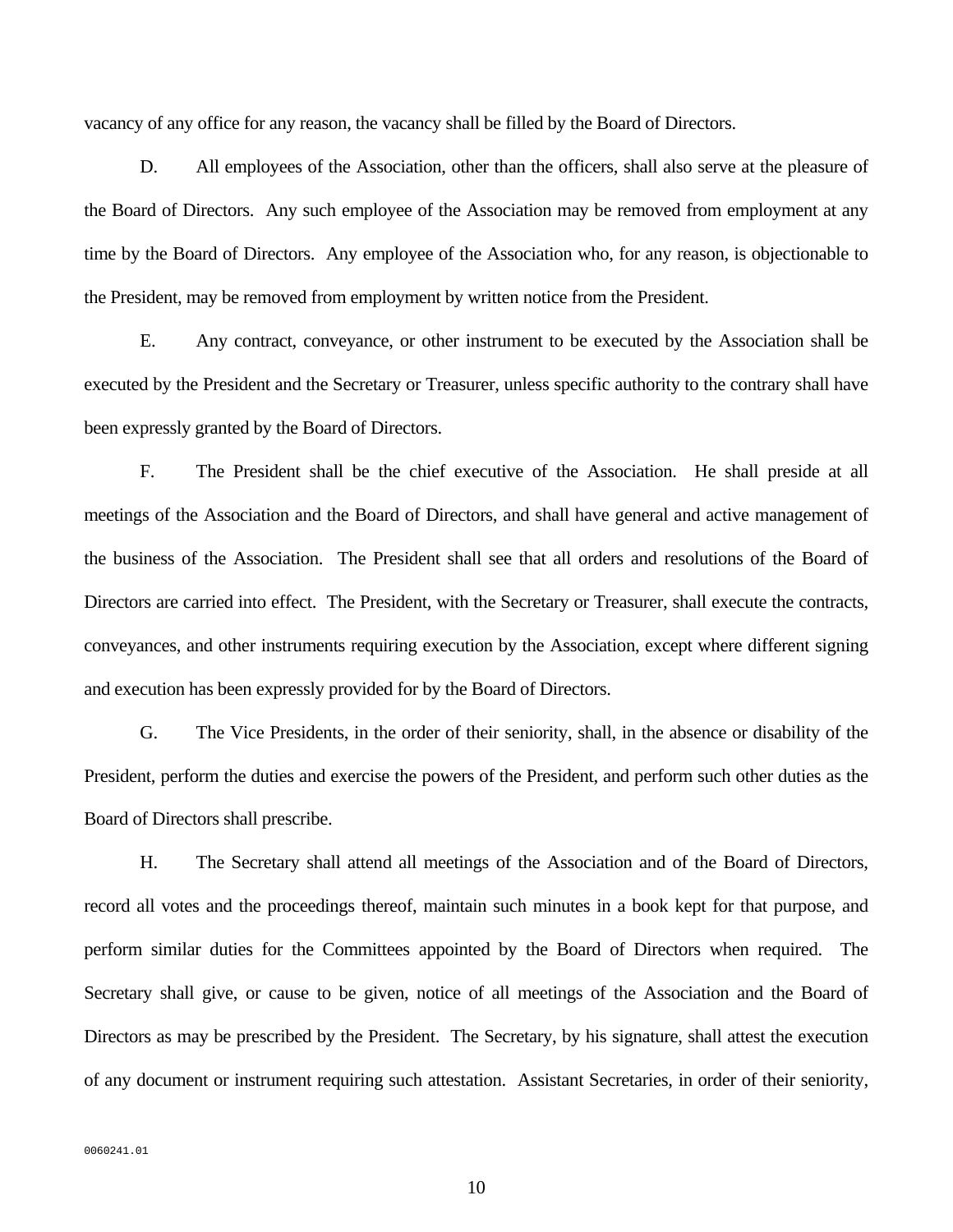vacancy of any office for any reason, the vacancy shall be filled by the Board of Directors.

 D. All employees of the Association, other than the officers, shall also serve at the pleasure of the Board of Directors. Any such employee of the Association may be removed from employment at any time by the Board of Directors. Any employee of the Association who, for any reason, is objectionable to the President, may be removed from employment by written notice from the President.

 E. Any contract, conveyance, or other instrument to be executed by the Association shall be executed by the President and the Secretary or Treasurer, unless specific authority to the contrary shall have been expressly granted by the Board of Directors.

 F. The President shall be the chief executive of the Association. He shall preside at all meetings of the Association and the Board of Directors, and shall have general and active management of the business of the Association. The President shall see that all orders and resolutions of the Board of Directors are carried into effect. The President, with the Secretary or Treasurer, shall execute the contracts, conveyances, and other instruments requiring execution by the Association, except where different signing and execution has been expressly provided for by the Board of Directors.

 G. The Vice Presidents, in the order of their seniority, shall, in the absence or disability of the President, perform the duties and exercise the powers of the President, and perform such other duties as the Board of Directors shall prescribe.

 H. The Secretary shall attend all meetings of the Association and of the Board of Directors, record all votes and the proceedings thereof, maintain such minutes in a book kept for that purpose, and perform similar duties for the Committees appointed by the Board of Directors when required. The Secretary shall give, or cause to be given, notice of all meetings of the Association and the Board of Directors as may be prescribed by the President. The Secretary, by his signature, shall attest the execution of any document or instrument requiring such attestation. Assistant Secretaries, in order of their seniority,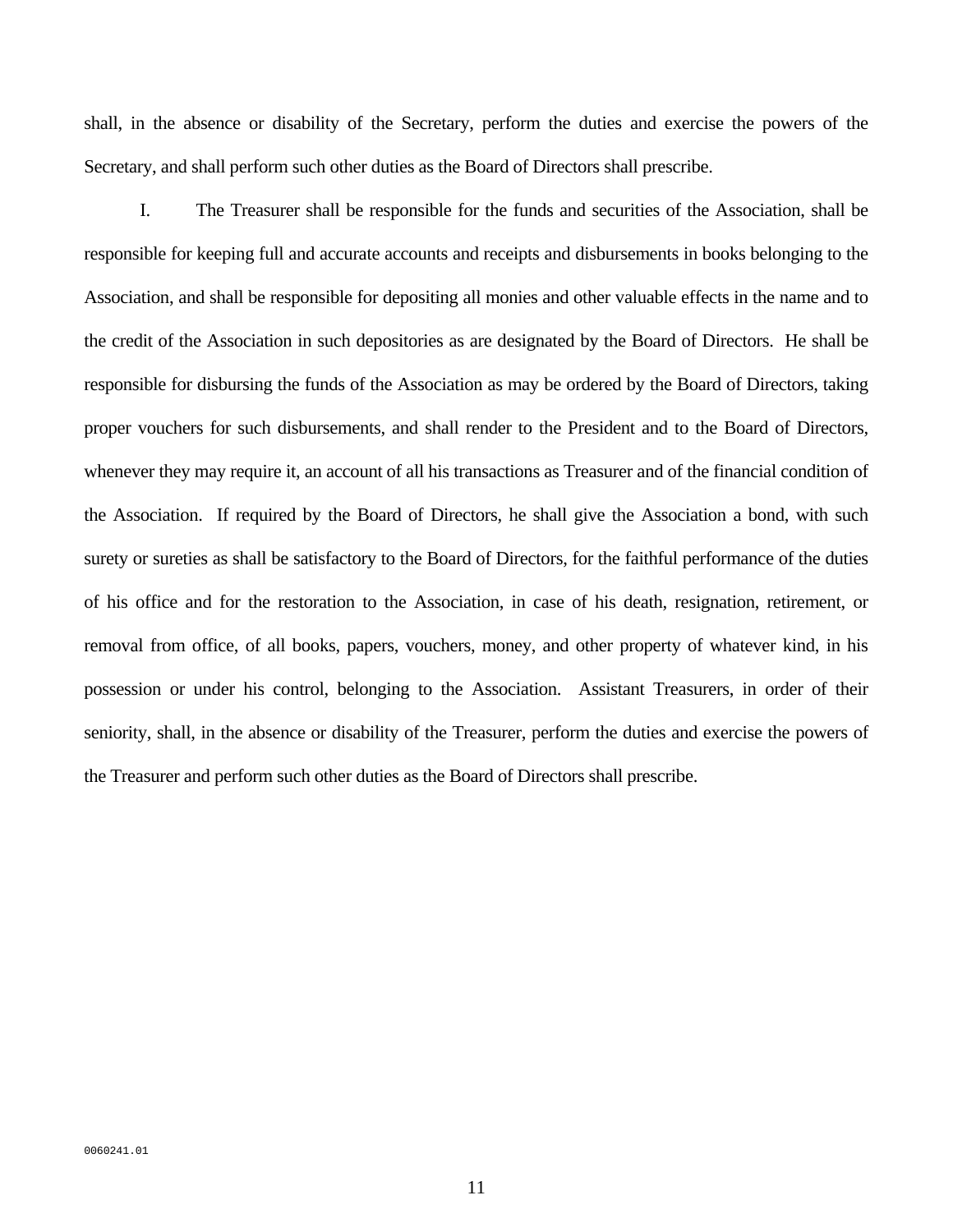shall, in the absence or disability of the Secretary, perform the duties and exercise the powers of the Secretary, and shall perform such other duties as the Board of Directors shall prescribe.

 I. The Treasurer shall be responsible for the funds and securities of the Association, shall be responsible for keeping full and accurate accounts and receipts and disbursements in books belonging to the Association, and shall be responsible for depositing all monies and other valuable effects in the name and to the credit of the Association in such depositories as are designated by the Board of Directors. He shall be responsible for disbursing the funds of the Association as may be ordered by the Board of Directors, taking proper vouchers for such disbursements, and shall render to the President and to the Board of Directors, whenever they may require it, an account of all his transactions as Treasurer and of the financial condition of the Association. If required by the Board of Directors, he shall give the Association a bond, with such surety or sureties as shall be satisfactory to the Board of Directors, for the faithful performance of the duties of his office and for the restoration to the Association, in case of his death, resignation, retirement, or removal from office, of all books, papers, vouchers, money, and other property of whatever kind, in his possession or under his control, belonging to the Association. Assistant Treasurers, in order of their seniority, shall, in the absence or disability of the Treasurer, perform the duties and exercise the powers of the Treasurer and perform such other duties as the Board of Directors shall prescribe.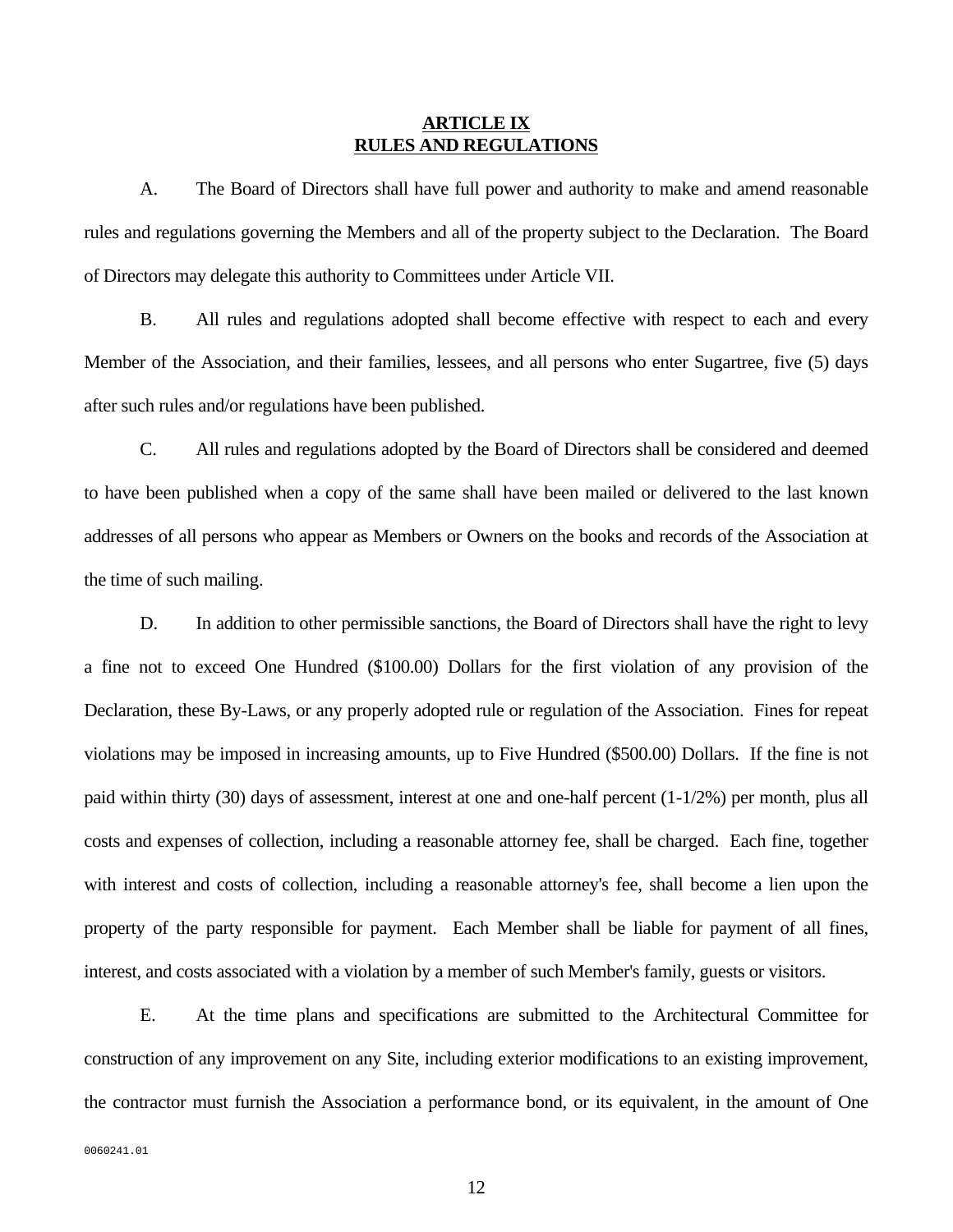#### **ARTICLE IX RULES AND REGULATIONS**

 A. The Board of Directors shall have full power and authority to make and amend reasonable rules and regulations governing the Members and all of the property subject to the Declaration. The Board of Directors may delegate this authority to Committees under Article VII.

 B. All rules and regulations adopted shall become effective with respect to each and every Member of the Association, and their families, lessees, and all persons who enter Sugartree, five (5) days after such rules and/or regulations have been published.

 C. All rules and regulations adopted by the Board of Directors shall be considered and deemed to have been published when a copy of the same shall have been mailed or delivered to the last known addresses of all persons who appear as Members or Owners on the books and records of the Association at the time of such mailing.

D. In addition to other permissible sanctions, the Board of Directors shall have the right to levy a fine not to exceed One Hundred (\$100.00) Dollars for the first violation of any provision of the Declaration, these By-Laws, or any properly adopted rule or regulation of the Association. Fines for repeat violations may be imposed in increasing amounts, up to Five Hundred (\$500.00) Dollars. If the fine is not paid within thirty (30) days of assessment, interest at one and one-half percent (1-1/2%) per month, plus all costs and expenses of collection, including a reasonable attorney fee, shall be charged. Each fine, together with interest and costs of collection, including a reasonable attorney's fee, shall become a lien upon the property of the party responsible for payment. Each Member shall be liable for payment of all fines, interest, and costs associated with a violation by a member of such Member's family, guests or visitors.

 E. At the time plans and specifications are submitted to the Architectural Committee for construction of any improvement on any Site, including exterior modifications to an existing improvement, the contractor must furnish the Association a performance bond, or its equivalent, in the amount of One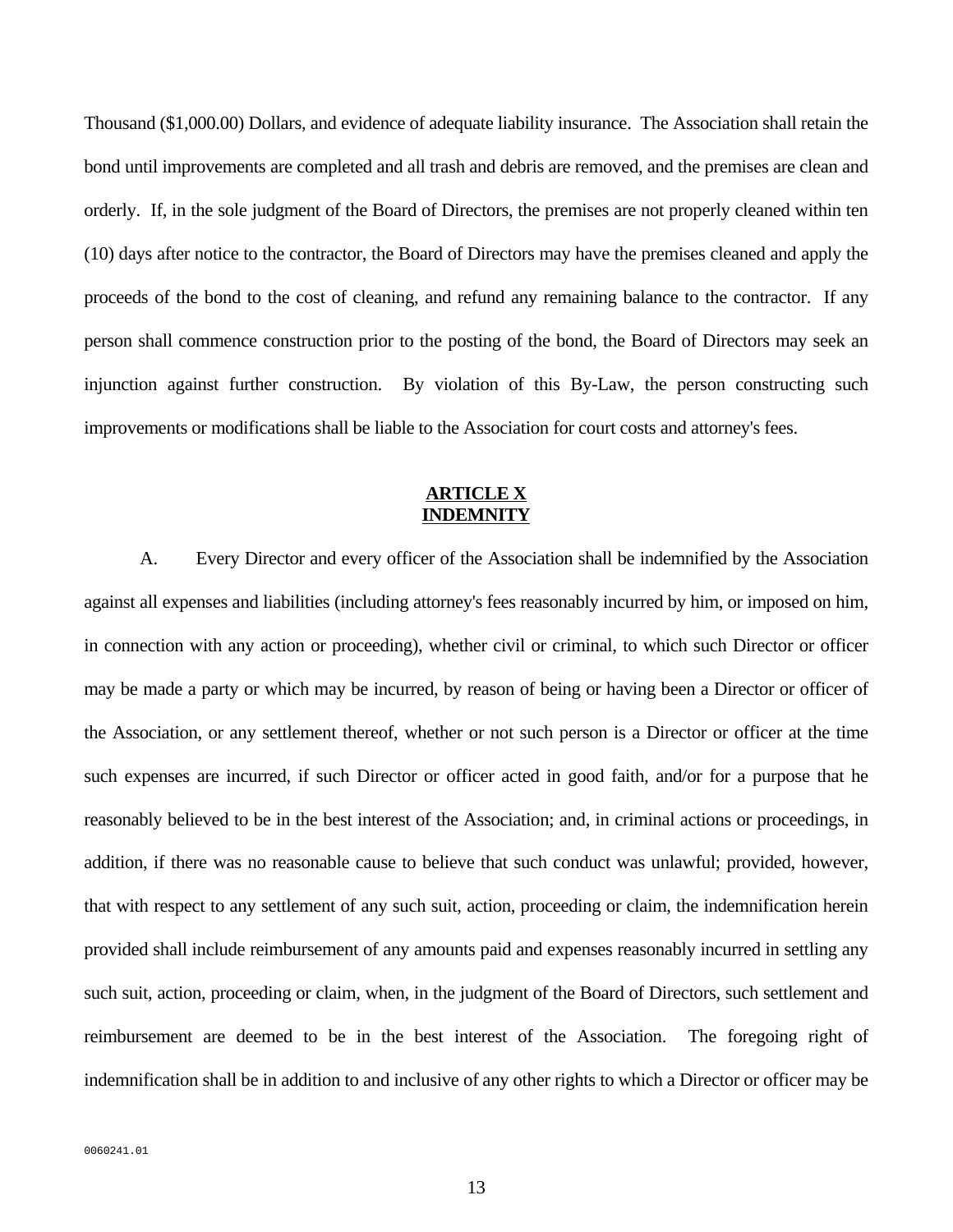Thousand (\$1,000.00) Dollars, and evidence of adequate liability insurance. The Association shall retain the bond until improvements are completed and all trash and debris are removed, and the premises are clean and orderly. If, in the sole judgment of the Board of Directors, the premises are not properly cleaned within ten (10) days after notice to the contractor, the Board of Directors may have the premises cleaned and apply the proceeds of the bond to the cost of cleaning, and refund any remaining balance to the contractor. If any person shall commence construction prior to the posting of the bond, the Board of Directors may seek an injunction against further construction. By violation of this By-Law, the person constructing such improvements or modifications shall be liable to the Association for court costs and attorney's fees.

### **ARTICLE X INDEMNITY**

 A. Every Director and every officer of the Association shall be indemnified by the Association against all expenses and liabilities (including attorney's fees reasonably incurred by him, or imposed on him, in connection with any action or proceeding), whether civil or criminal, to which such Director or officer may be made a party or which may be incurred, by reason of being or having been a Director or officer of the Association, or any settlement thereof, whether or not such person is a Director or officer at the time such expenses are incurred, if such Director or officer acted in good faith, and/or for a purpose that he reasonably believed to be in the best interest of the Association; and, in criminal actions or proceedings, in addition, if there was no reasonable cause to believe that such conduct was unlawful; provided, however, that with respect to any settlement of any such suit, action, proceeding or claim, the indemnification herein provided shall include reimbursement of any amounts paid and expenses reasonably incurred in settling any such suit, action, proceeding or claim, when, in the judgment of the Board of Directors, such settlement and reimbursement are deemed to be in the best interest of the Association. The foregoing right of indemnification shall be in addition to and inclusive of any other rights to which a Director or officer may be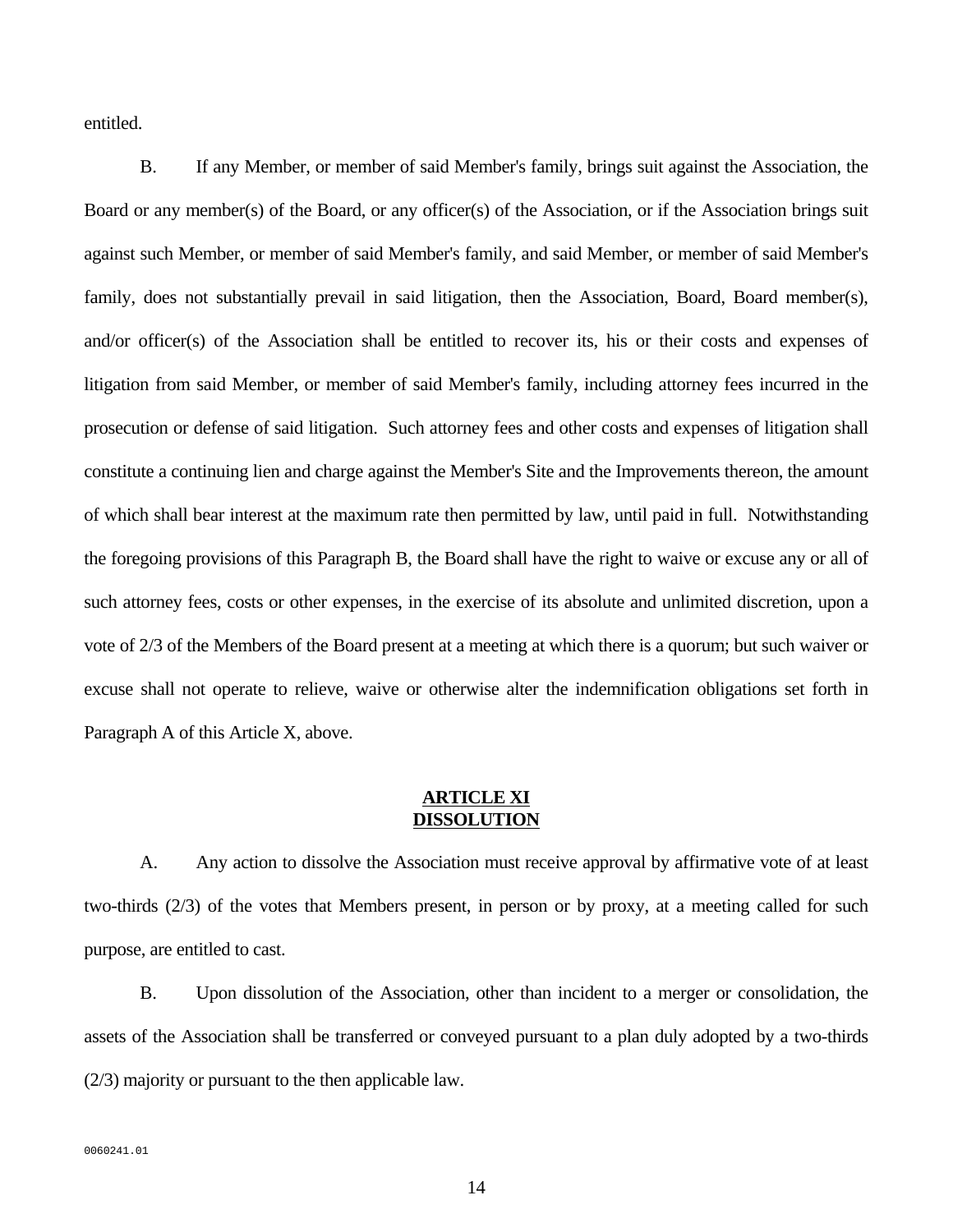entitled.

 B. If any Member, or member of said Member's family, brings suit against the Association, the Board or any member(s) of the Board, or any officer(s) of the Association, or if the Association brings suit against such Member, or member of said Member's family, and said Member, or member of said Member's family, does not substantially prevail in said litigation, then the Association, Board, Board member(s), and/or officer(s) of the Association shall be entitled to recover its, his or their costs and expenses of litigation from said Member, or member of said Member's family, including attorney fees incurred in the prosecution or defense of said litigation. Such attorney fees and other costs and expenses of litigation shall constitute a continuing lien and charge against the Member's Site and the Improvements thereon, the amount of which shall bear interest at the maximum rate then permitted by law, until paid in full. Notwithstanding the foregoing provisions of this Paragraph B, the Board shall have the right to waive or excuse any or all of such attorney fees, costs or other expenses, in the exercise of its absolute and unlimited discretion, upon a vote of 2/3 of the Members of the Board present at a meeting at which there is a quorum; but such waiver or excuse shall not operate to relieve, waive or otherwise alter the indemnification obligations set forth in Paragraph A of this Article X, above.

### **ARTICLE XI DISSOLUTION**

 A. Any action to dissolve the Association must receive approval by affirmative vote of at least two-thirds (2/3) of the votes that Members present, in person or by proxy, at a meeting called for such purpose, are entitled to cast.

 B. Upon dissolution of the Association, other than incident to a merger or consolidation, the assets of the Association shall be transferred or conveyed pursuant to a plan duly adopted by a two-thirds (2/3) majority or pursuant to the then applicable law.